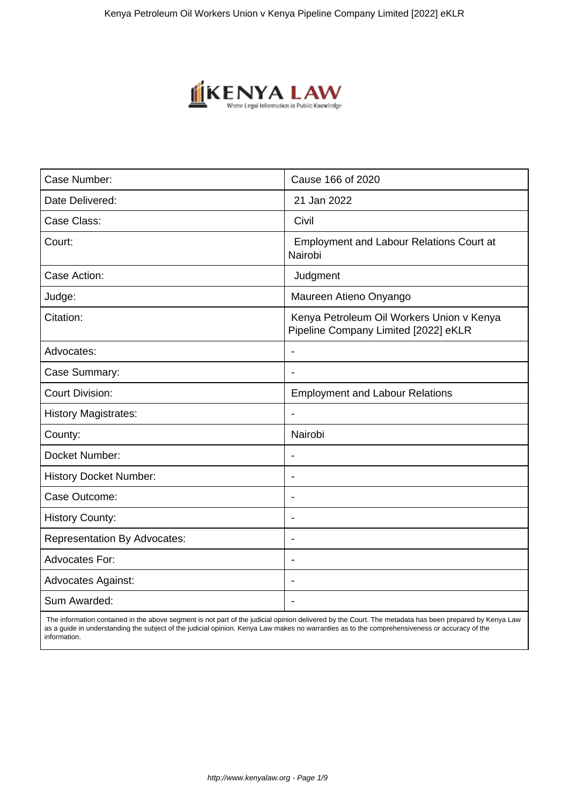

| Case Number:                        | Cause 166 of 2020                                                                 |  |
|-------------------------------------|-----------------------------------------------------------------------------------|--|
| Date Delivered:                     | 21 Jan 2022                                                                       |  |
| Case Class:                         | Civil                                                                             |  |
| Court:                              | <b>Employment and Labour Relations Court at</b><br>Nairobi                        |  |
| Case Action:                        | Judgment                                                                          |  |
| Judge:                              | Maureen Atieno Onyango                                                            |  |
| Citation:                           | Kenya Petroleum Oil Workers Union v Kenya<br>Pipeline Company Limited [2022] eKLR |  |
| Advocates:                          | $\overline{\phantom{a}}$                                                          |  |
| Case Summary:                       | $\blacksquare$                                                                    |  |
| <b>Court Division:</b>              | <b>Employment and Labour Relations</b>                                            |  |
| <b>History Magistrates:</b>         | $\overline{\phantom{a}}$                                                          |  |
| County:                             | Nairobi                                                                           |  |
| Docket Number:                      | $\overline{\phantom{a}}$                                                          |  |
| <b>History Docket Number:</b>       | ٠                                                                                 |  |
| Case Outcome:                       | $\blacksquare$                                                                    |  |
| <b>History County:</b>              | ÷                                                                                 |  |
| <b>Representation By Advocates:</b> | $\blacksquare$                                                                    |  |
| <b>Advocates For:</b>               | $\overline{\phantom{a}}$                                                          |  |
| <b>Advocates Against:</b>           | $\overline{\phantom{a}}$                                                          |  |
| Sum Awarded:                        |                                                                                   |  |

 The information contained in the above segment is not part of the judicial opinion delivered by the Court. The metadata has been prepared by Kenya Law as a guide in understanding the subject of the judicial opinion. Kenya Law makes no warranties as to the comprehensiveness or accuracy of the information.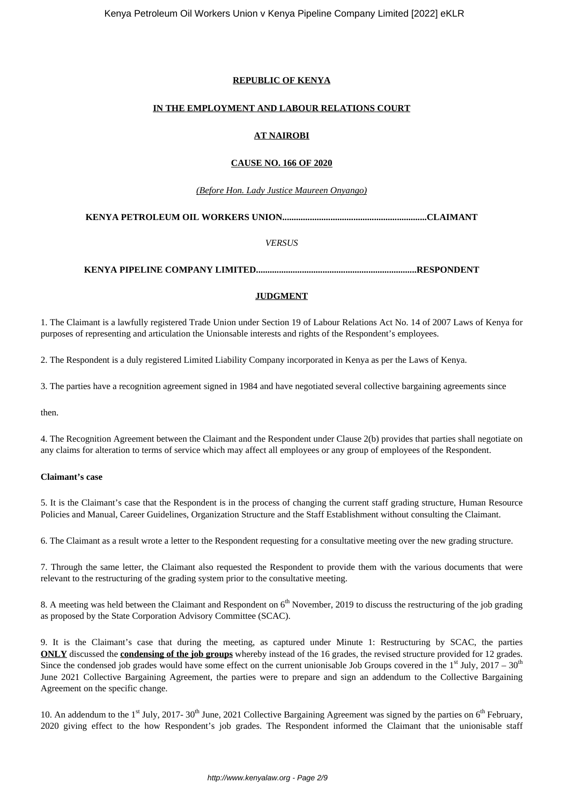# **REPUBLIC OF KENYA**

# **IN THE EMPLOYMENT AND LABOUR RELATIONS COURT**

# **AT NAIROBI**

# **CAUSE NO. 166 OF 2020**

# *(Before Hon. Lady Justice Maureen Onyango)*

# **KENYA PETROLEUM OIL WORKERS UNION...............................................................CLAIMANT**

*VERSUS*

# **KENYA PIPELINE COMPANY LIMITED......................................................................RESPONDENT**

# **JUDGMENT**

1. The Claimant is a lawfully registered Trade Union under Section 19 of Labour Relations Act No. 14 of 2007 Laws of Kenya for purposes of representing and articulation the Unionsable interests and rights of the Respondent's employees.

2. The Respondent is a duly registered Limited Liability Company incorporated in Kenya as per the Laws of Kenya.

3. The parties have a recognition agreement signed in 1984 and have negotiated several collective bargaining agreements since

then.

4. The Recognition Agreement between the Claimant and the Respondent under Clause 2(b) provides that parties shall negotiate on any claims for alteration to terms of service which may affect all employees or any group of employees of the Respondent.

# **Claimant's case**

5. It is the Claimant's case that the Respondent is in the process of changing the current staff grading structure, Human Resource Policies and Manual, Career Guidelines, Organization Structure and the Staff Establishment without consulting the Claimant.

6. The Claimant as a result wrote a letter to the Respondent requesting for a consultative meeting over the new grading structure.

7. Through the same letter, the Claimant also requested the Respondent to provide them with the various documents that were relevant to the restructuring of the grading system prior to the consultative meeting.

8. A meeting was held between the Claimant and Respondent on  $6<sup>th</sup>$  November, 2019 to discuss the restructuring of the job grading as proposed by the State Corporation Advisory Committee (SCAC).

9. It is the Claimant's case that during the meeting, as captured under Minute 1: Restructuring by SCAC, the parties **ONLY** discussed the **condensing of the job groups** whereby instead of the 16 grades, the revised structure provided for 12 grades. Since the condensed job grades would have some effect on the current unionisable Job Groups covered in the  $1<sup>st</sup>$  July, 2017 – 30<sup>th</sup> June 2021 Collective Bargaining Agreement, the parties were to prepare and sign an addendum to the Collective Bargaining Agreement on the specific change.

10. An addendum to the 1<sup>st</sup> July, 2017- 30<sup>th</sup> June, 2021 Collective Bargaining Agreement was signed by the parties on 6<sup>th</sup> February, 2020 giving effect to the how Respondent's job grades. The Respondent informed the Claimant that the unionisable staff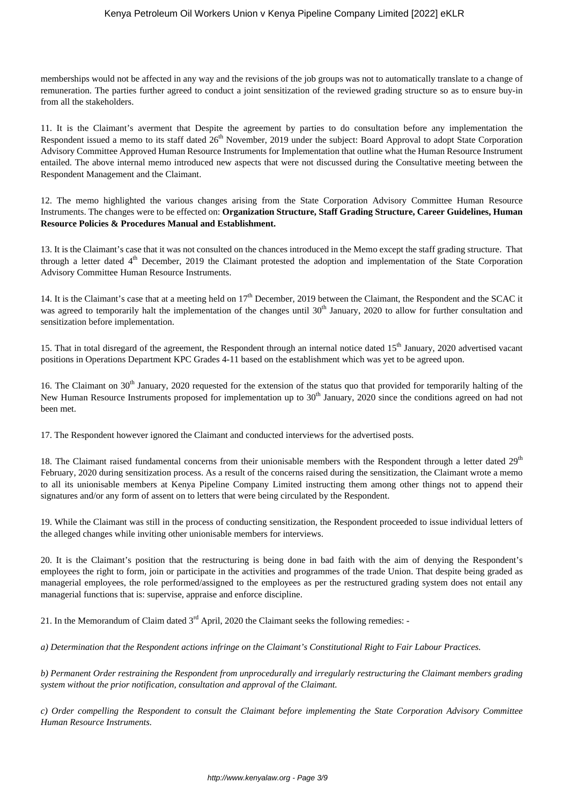memberships would not be affected in any way and the revisions of the job groups was not to automatically translate to a change of remuneration. The parties further agreed to conduct a joint sensitization of the reviewed grading structure so as to ensure buy-in from all the stakeholders.

11. It is the Claimant's averment that Despite the agreement by parties to do consultation before any implementation the Respondent issued a memo to its staff dated 26<sup>th</sup> November, 2019 under the subject: Board Approval to adopt State Corporation Advisory Committee Approved Human Resource Instruments for Implementation that outline what the Human Resource Instrument entailed. The above internal memo introduced new aspects that were not discussed during the Consultative meeting between the Respondent Management and the Claimant.

12. The memo highlighted the various changes arising from the State Corporation Advisory Committee Human Resource Instruments. The changes were to be effected on: **Organization Structure, Staff Grading Structure, Career Guidelines, Human Resource Policies & Procedures Manual and Establishment.**

13. It is the Claimant's case that it was not consulted on the chances introduced in the Memo except the staff grading structure. That through a letter dated  $4<sup>th</sup>$  December, 2019 the Claimant protested the adoption and implementation of the State Corporation Advisory Committee Human Resource Instruments.

14. It is the Claimant's case that at a meeting held on 17<sup>th</sup> December, 2019 between the Claimant, the Respondent and the SCAC it was agreed to temporarily halt the implementation of the changes until  $30<sup>th</sup>$  January, 2020 to allow for further consultation and sensitization before implementation.

15. That in total disregard of the agreement, the Respondent through an internal notice dated 15<sup>th</sup> January, 2020 advertised vacant positions in Operations Department KPC Grades 4-11 based on the establishment which was yet to be agreed upon.

16. The Claimant on 30<sup>th</sup> January, 2020 requested for the extension of the status quo that provided for temporarily halting of the New Human Resource Instruments proposed for implementation up to  $30<sup>th</sup>$  January, 2020 since the conditions agreed on had not been met.

17. The Respondent however ignored the Claimant and conducted interviews for the advertised posts.

18. The Claimant raised fundamental concerns from their unionisable members with the Respondent through a letter dated  $29<sup>th</sup>$ February, 2020 during sensitization process. As a result of the concerns raised during the sensitization, the Claimant wrote a memo to all its unionisable members at Kenya Pipeline Company Limited instructing them among other things not to append their signatures and/or any form of assent on to letters that were being circulated by the Respondent.

19. While the Claimant was still in the process of conducting sensitization, the Respondent proceeded to issue individual letters of the alleged changes while inviting other unionisable members for interviews.

20. It is the Claimant's position that the restructuring is being done in bad faith with the aim of denying the Respondent's employees the right to form, join or participate in the activities and programmes of the trade Union. That despite being graded as managerial employees, the role performed/assigned to the employees as per the restructured grading system does not entail any managerial functions that is: supervise, appraise and enforce discipline.

21. In the Memorandum of Claim dated  $3<sup>rd</sup>$  April, 2020 the Claimant seeks the following remedies: -

*a) Determination that the Respondent actions infringe on the Claimant's Constitutional Right to Fair Labour Practices.*

*b) Permanent Order restraining the Respondent from unprocedurally and irregularly restructuring the Claimant members grading system without the prior notification, consultation and approval of the Claimant.*

*c) Order compelling the Respondent to consult the Claimant before implementing the State Corporation Advisory Committee Human Resource Instruments.*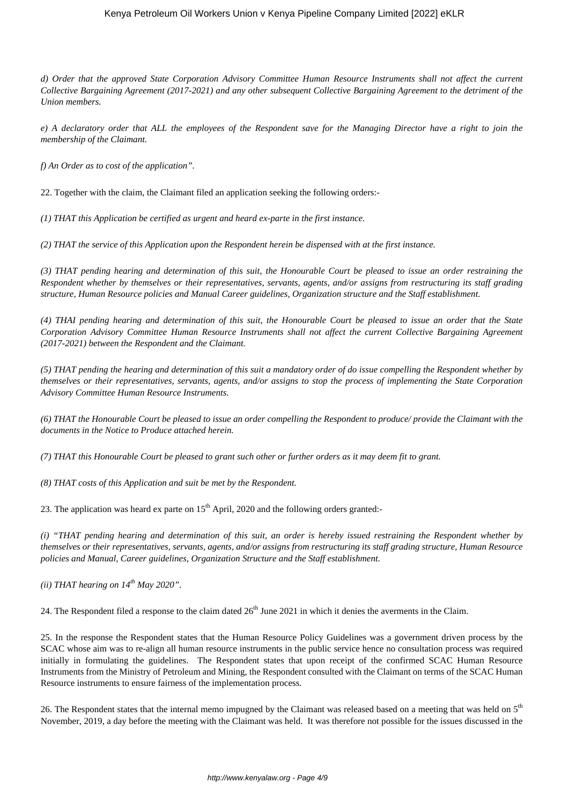# Kenya Petroleum Oil Workers Union v Kenya Pipeline Company Limited [2022] eKLR

*d) Order that the approved State Corporation Advisory Committee Human Resource Instruments shall not affect the current Collective Bargaining Agreement (2017-2021) and any other subsequent Collective Bargaining Agreement to the detriment of the Union members.*

*e) A declaratory order that ALL the employees of the Respondent save for the Managing Director have a right to join the membership of the Claimant.*

*f) An Order as to cost of the application".*

22. Together with the claim, the Claimant filed an application seeking the following orders:-

*(1) THAT this Application be certified as urgent and heard ex-parte in the first instance.*

*(2) THAT the service of this Application upon the Respondent herein be dispensed with at the first instance.*

*(3) THAT pending hearing and determination of this suit, the Honourable Court be pleased to issue an order restraining the Respondent whether by themselves or their representatives, servants, agents, and/or assigns from restructuring its staff grading structure, Human Resource policies and Manual Career guidelines, Organization structure and the Staff establishment.*

*(4) THAI pending hearing and determination of this suit, the Honourable Court be pleased to issue an order that the State Corporation Advisory Committee Human Resource Instruments shall not affect the current Collective Bargaining Agreement (2017-2021) between the Respondent and the Claimant.*

*(5) THAT pending the hearing and determination of this suit a mandatory order of do issue compelling the Respondent whether by themselves or their representatives, servants, agents, and/or assigns to stop the process of implementing the State Corporation Advisory Committee Human Resource Instruments.*

*(6) THAT the Honourable Court be pleased to issue an order compelling the Respondent to produce/ provide the Claimant with the documents in the Notice to Produce attached herein.*

*(7) THAT this Honourable Court be pleased to grant such other or further orders as it may deem fit to grant.*

*(8) THAT costs of this Application and suit be met by the Respondent.*

23. The application was heard ex parte on  $15<sup>th</sup>$  April, 2020 and the following orders granted:-

*(i) "THAT pending hearing and determination of this suit, an order is hereby issued restraining the Respondent whether by themselves or their representatives, servants, agents, and/or assigns from restructuring its staff grading structure, Human Resource policies and Manual, Career guidelines, Organization Structure and the Staff establishment.*

*(ii) THAT hearing on 14th May 2020".*

24. The Respondent filed a response to the claim dated  $26<sup>th</sup>$  June 2021 in which it denies the averments in the Claim.

25. In the response the Respondent states that the Human Resource Policy Guidelines was a government driven process by the SCAC whose aim was to re-align all human resource instruments in the public service hence no consultation process was required initially in formulating the guidelines. The Respondent states that upon receipt of the confirmed SCAC Human Resource Instruments from the Ministry of Petroleum and Mining, the Respondent consulted with the Claimant on terms of the SCAC Human Resource instruments to ensure fairness of the implementation process.

26. The Respondent states that the internal memo impugned by the Claimant was released based on a meeting that was held on 5<sup>th</sup> November, 2019, a day before the meeting with the Claimant was held. It was therefore not possible for the issues discussed in the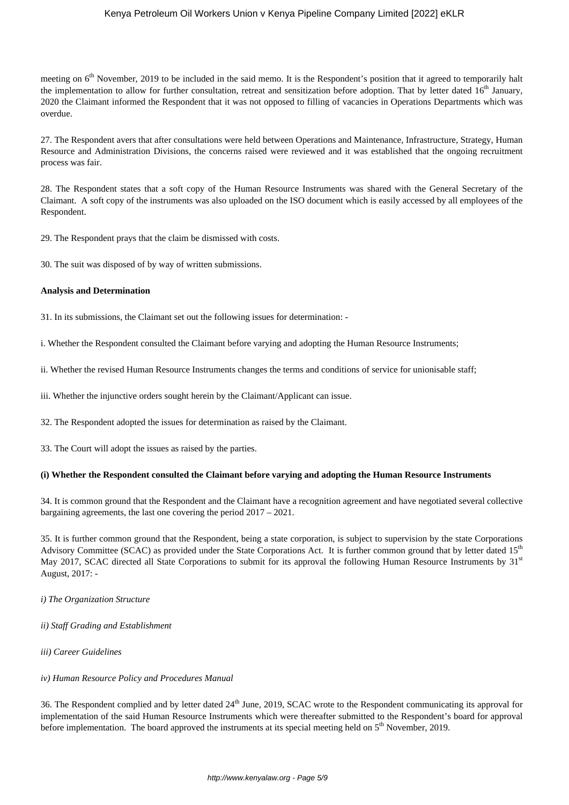# Kenya Petroleum Oil Workers Union v Kenya Pipeline Company Limited [2022] eKLR

meeting on  $6<sup>th</sup>$  November, 2019 to be included in the said memo. It is the Respondent's position that it agreed to temporarily halt the implementation to allow for further consultation, retreat and sensitization before adoption. That by letter dated  $16<sup>th</sup>$  January, 2020 the Claimant informed the Respondent that it was not opposed to filling of vacancies in Operations Departments which was overdue.

27. The Respondent avers that after consultations were held between Operations and Maintenance, Infrastructure, Strategy, Human Resource and Administration Divisions, the concerns raised were reviewed and it was established that the ongoing recruitment process was fair.

28. The Respondent states that a soft copy of the Human Resource Instruments was shared with the General Secretary of the Claimant. A soft copy of the instruments was also uploaded on the ISO document which is easily accessed by all employees of the Respondent.

29. The Respondent prays that the claim be dismissed with costs.

30. The suit was disposed of by way of written submissions.

#### **Analysis and Determination**

31. In its submissions, the Claimant set out the following issues for determination: -

i. Whether the Respondent consulted the Claimant before varying and adopting the Human Resource Instruments;

ii. Whether the revised Human Resource Instruments changes the terms and conditions of service for unionisable staff;

iii. Whether the injunctive orders sought herein by the Claimant/Applicant can issue.

32. The Respondent adopted the issues for determination as raised by the Claimant.

33. The Court will adopt the issues as raised by the parties.

#### **(i) Whether the Respondent consulted the Claimant before varying and adopting the Human Resource Instruments**

34. It is common ground that the Respondent and the Claimant have a recognition agreement and have negotiated several collective bargaining agreements, the last one covering the period 2017 – 2021.

35. It is further common ground that the Respondent, being a state corporation, is subject to supervision by the state Corporations Advisory Committee (SCAC) as provided under the State Corporations Act. It is further common ground that by letter dated  $15<sup>th</sup>$ May 2017, SCAC directed all State Corporations to submit for its approval the following Human Resource Instruments by 31<sup>st</sup> August, 2017: -

*i) The Organization Structure* 

*ii) Staff Grading and Establishment* 

*iii) Career Guidelines* 

#### *iv) Human Resource Policy and Procedures Manual*

36. The Respondent complied and by letter dated 24<sup>th</sup> June, 2019, SCAC wrote to the Respondent communicating its approval for implementation of the said Human Resource Instruments which were thereafter submitted to the Respondent's board for approval before implementation. The board approved the instruments at its special meeting held on  $5<sup>th</sup>$  November, 2019.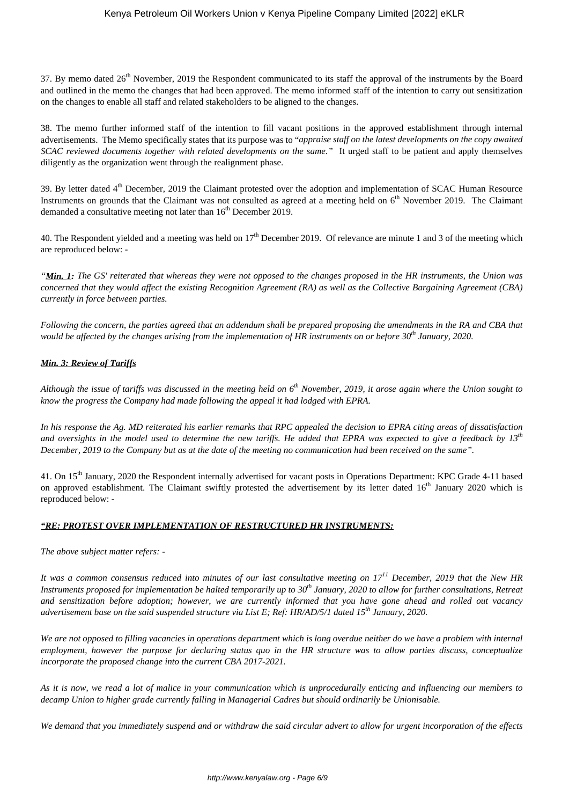37. By memo dated 26<sup>th</sup> November, 2019 the Respondent communicated to its staff the approval of the instruments by the Board and outlined in the memo the changes that had been approved. The memo informed staff of the intention to carry out sensitization on the changes to enable all staff and related stakeholders to be aligned to the changes.

38. The memo further informed staff of the intention to fill vacant positions in the approved establishment through internal advertisements. The Memo specifically states that its purpose was to "*appraise staff on the latest developments on the copy awaited SCAC reviewed documents together with related developments on the same."* It urged staff to be patient and apply themselves diligently as the organization went through the realignment phase.

39. By letter dated 4<sup>th</sup> December, 2019 the Claimant protested over the adoption and implementation of SCAC Human Resource Instruments on grounds that the Claimant was not consulted as agreed at a meeting held on 6<sup>th</sup> November 2019. The Claimant demanded a consultative meeting not later than  $16<sup>th</sup>$  December 2019.

40. The Respondent yielded and a meeting was held on  $17<sup>th</sup>$  December 2019. Of relevance are minute 1 and 3 of the meeting which are reproduced below: -

*"Min. 1: The GS' reiterated that whereas they were not opposed to the changes proposed in the HR instruments, the Union was concerned that they would affect the existing Recognition Agreement (RA) as well as the Collective Bargaining Agreement (CBA) currently in force between parties.*

*Following the concern, the parties agreed that an addendum shall be prepared proposing the amendments in the RA and CBA that would be affected by the changes arising from the implementation of HR instruments on or before 30th January, 2020.*

# *Min. 3: Review of Tariffs*

*Although the issue of tariffs was discussed in the meeting held on 6th November, 2019, it arose again where the Union sought to know the progress the Company had made following the appeal it had lodged with EPRA.*

*In his response the Ag. MD reiterated his earlier remarks that RPC appealed the decision to EPRA citing areas of dissatisfaction and oversights in the model used to determine the new tariffs. He added that EPRA was expected to give a feedback by 13th December, 2019 to the Company but as at the date of the meeting no communication had been received on the same".*

41. On 15<sup>th</sup> January, 2020 the Respondent internally advertised for vacant posts in Operations Department: KPC Grade 4-11 based on approved establishment. The Claimant swiftly protested the advertisement by its letter dated  $16<sup>th</sup>$  January 2020 which is reproduced below: -

# *"RE: PROTEST OVER IMPLEMENTATION OF RESTRUCTURED HR INSTRUMENTS:*

*The above subject matter refers: -*

*It was a common consensus reduced into minutes of our last consultative meeting on 17<sup>11</sup> December, 2019 that the New HR Instruments proposed for implementation be halted temporarily up to 30th January, 2020 to allow for further consultations, Retreat and sensitization before adoption; however, we are currently informed that you have gone ahead and rolled out vacancy advertisement base on the said suspended structure via List E; Ref: HR/AD/5/1 dated 15th January, 2020.*

*We are not opposed to filling vacancies in operations department which is long overdue neither do we have a problem with internal employment, however the purpose for declaring status quo in the HR structure was to allow parties discuss, conceptualize incorporate the proposed change into the current CBA 2017-2021.*

*As it is now, we read a lot of malice in your communication which is unprocedurally enticing and influencing our members to decamp Union to higher grade currently falling in Managerial Cadres but should ordinarily be Unionisable.*

*We demand that you immediately suspend and or withdraw the said circular advert to allow for urgent incorporation of the effects*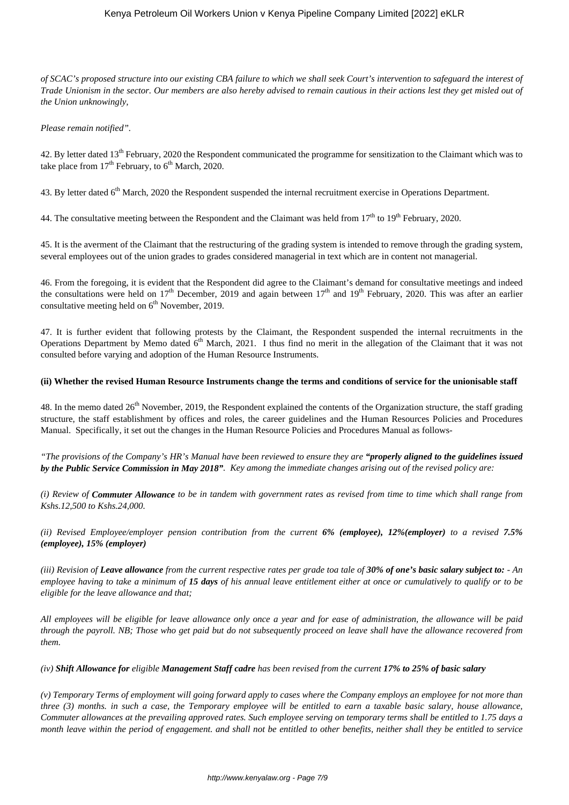*of SCAC's proposed structure into our existing CBA failure to which we shall seek Court's intervention to safeguard the interest of Trade Unionism in the sector. Our members are also hereby advised to remain cautious in their actions lest they get misled out of the Union unknowingly,*

#### *Please remain notified".*

42. By letter dated 13<sup>th</sup> February, 2020 the Respondent communicated the programme for sensitization to the Claimant which was to take place from  $17<sup>th</sup>$  February, to  $6<sup>th</sup>$  March, 2020.

43. By letter dated 6<sup>th</sup> March, 2020 the Respondent suspended the internal recruitment exercise in Operations Department.

44. The consultative meeting between the Respondent and the Claimant was held from  $17<sup>th</sup>$  to  $19<sup>th</sup>$  February, 2020.

45. It is the averment of the Claimant that the restructuring of the grading system is intended to remove through the grading system, several employees out of the union grades to grades considered managerial in text which are in content not managerial.

46. From the foregoing, it is evident that the Respondent did agree to the Claimant's demand for consultative meetings and indeed the consultations were held on  $17<sup>th</sup>$  December, 2019 and again between  $17<sup>th</sup>$  and  $19<sup>th</sup>$  February, 2020. This was after an earlier consultative meeting held on  $6<sup>th</sup>$  November, 2019.

47. It is further evident that following protests by the Claimant, the Respondent suspended the internal recruitments in the Operations Department by Memo dated  $6<sup>th</sup>$  March, 2021. I thus find no merit in the allegation of the Claimant that it was not consulted before varying and adoption of the Human Resource Instruments.

#### **(ii) Whether the revised Human Resource Instruments change the terms and conditions of service for the unionisable staff**

48. In the memo dated  $26<sup>th</sup>$  November, 2019, the Respondent explained the contents of the Organization structure, the staff grading structure, the staff establishment by offices and roles, the career guidelines and the Human Resources Policies and Procedures Manual. Specifically, it set out the changes in the Human Resource Policies and Procedures Manual as follows-

*"The provisions of the Company's HR's Manual have been reviewed to ensure they are "properly aligned to the guidelines issued by the Public Service Commission in May 2018". Key among the immediate changes arising out of the revised policy are:*

*(i) Review of Commuter Allowance to be in tandem with government rates as revised from time to time which shall range from Kshs.12,500 to Kshs.24,000.* 

*(ii) Revised Employee/employer pension contribution from the current 6% (employee), 12%(employer) to a revised 7.5% (employee), 15% (employer)*

*(iii) Revision of Leave allowance from the current respective rates per grade toa tale of 30% of one's basic salary subject to: - An employee having to take a minimum of 15 days of his annual leave entitlement either at once or cumulatively to qualify or to be eligible for the leave allowance and that;* 

*All employees will be eligible for leave allowance only once a year and for ease of administration, the allowance will be paid through the payroll. NB; Those who get paid but do not subsequently proceed on leave shall have the allowance recovered from them.* 

*(iv) Shift Allowance for eligible Management Staff cadre has been revised from the current 17% to 25% of basic salary*

*(v) Temporary Terms of employment will going forward apply to cases where the Company employs an employee for not more than three (3) months. in such a case, the Temporary employee will be entitled to earn a taxable basic salary, house allowance, Commuter allowances at the prevailing approved rates. Such employee serving on temporary terms shall be entitled to 1.75 days a month leave within the period of engagement. and shall not be entitled to other benefits, neither shall they be entitled to service*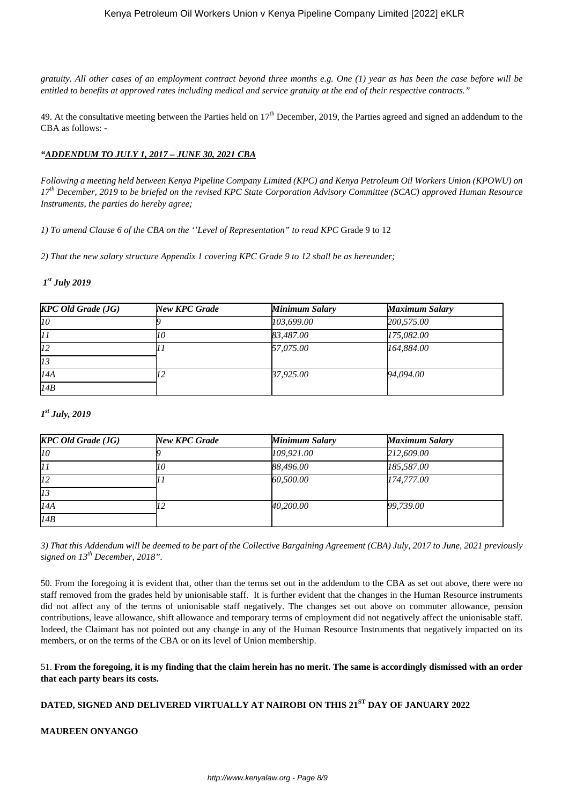*gratuity. All other cases of an employment contract beyond three months e.g. One (1) year as has been the case before will be entitled to benefits at approved rates including medical and service gratuity at the end of their respective contracts."* 

49. At the consultative meeting between the Parties held on  $17<sup>th</sup>$  December, 2019, the Parties agreed and signed an addendum to the CBA as follows: -

# *"ADDENDUM TO JULY 1, 2017 – JUNE 30, 2021 CBA*

*Following a meeting held between Kenya Pipeline Company Limited (KPC) and Kenya Petroleum Oil Workers Union (KPOWU) on 17th December, 2019 to be briefed on the revised KPC State Corporation Advisory Committee (SCAC) approved Human Resource Instruments, the parties do hereby agree;*

*1) To amend Clause 6 of the CBA on the ''Level of Representation" to read KPC* Grade 9 to 12

*2) That the new salary structure Appendix 1 covering KPC Grade 9 to 12 shall be as hereunder;*

# *1 st July 2019*

| <b>KPC Old Grade (JG)</b> | New KPC Grade | <b>Minimum Salary</b> | <b>Maximum Salary</b> |
|---------------------------|---------------|-----------------------|-----------------------|
| 10 <sup>o</sup>           |               | 103,699.00            | 200,575.00            |
| 17                        |               | 83,487.00             | 175,082.00            |
| 12                        |               | 57,075.00             | 164,884.00            |
| 13                        |               |                       |                       |
| I4A                       |               | 37,925.00             | 94.094.00             |
| 14B                       |               |                       |                       |

# *1 st July, 2019*

| $KPC$ Old Grade (JG) | New KPC Grade | Minimum Salary | <b>Maximum Salary</b> |
|----------------------|---------------|----------------|-----------------------|
| lt0                  |               | 109,921.00     | 212,609.00            |
| 17                   |               | 88,496.00      | 185,587.00            |
| li2                  |               | 60,500.00      | 174,777.00            |
| 13                   |               |                |                       |
| I4A                  |               | 40,200.00      | 99,739.00             |
| 14B                  |               |                |                       |

*3) That this Addendum will be deemed to be part of the Collective Bargaining Agreement (CBA) July, 2017 to June, 2021 previously signed on 13th December, 2018".*

50. From the foregoing it is evident that, other than the terms set out in the addendum to the CBA as set out above, there were no staff removed from the grades held by unionisable staff. It is further evident that the changes in the Human Resource instruments did not affect any of the terms of unionisable staff negatively. The changes set out above on commuter allowance, pension contributions, leave allowance, shift allowance and temporary terms of employment did not negatively affect the unionisable staff. Indeed, the Claimant has not pointed out any change in any of the Human Resource Instruments that negatively impacted on its members, or on the terms of the CBA or on its level of Union membership.

51. **From the foregoing, it is my finding that the claim herein has no merit. The same is accordingly dismissed with an order that each party bears its costs.**

# **DATED, SIGNED AND DELIVERED VIRTUALLY AT NAIROBI ON THIS 21ST DAY OF JANUARY 2022**

# **MAUREEN ONYANGO**